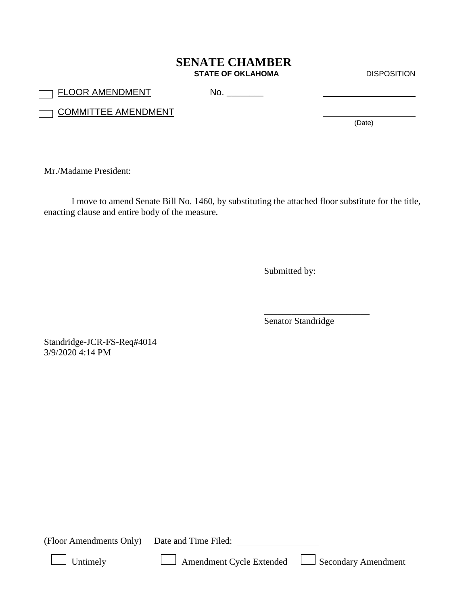## **SENATE CHAMBER STATE OF OKLAHOMA** DISPOSITION

FLOOR AMENDMENT No. \_\_\_\_\_\_\_\_

**COMMITTEE AMENDMENT** 

(Date)

Mr./Madame President:

I move to amend Senate Bill No. 1460, by substituting the attached floor substitute for the title, enacting clause and entire body of the measure.

Submitted by:

Senator Standridge

\_\_\_\_\_\_\_\_\_\_\_\_\_\_\_\_\_\_\_\_\_\_\_

Standridge-JCR-FS-Req#4014 3/9/2020 4:14 PM

(Floor Amendments Only) Date and Time Filed:

Untimely Amendment Cycle Extended Secondary Amendment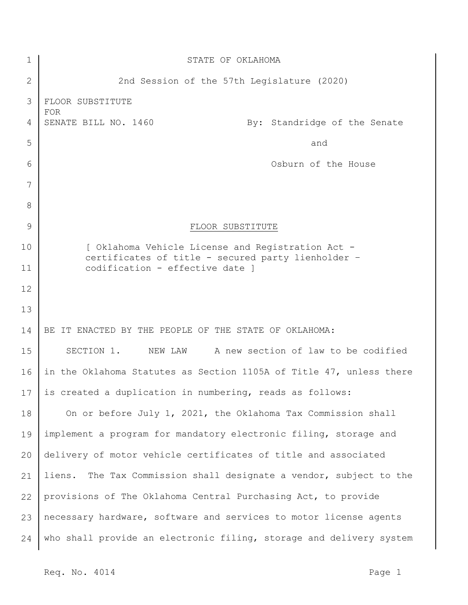| $\mathbf 1$ | STATE OF OKLAHOMA                                                                                       |
|-------------|---------------------------------------------------------------------------------------------------------|
| 2           | 2nd Session of the 57th Legislature (2020)                                                              |
| 3           | FLOOR SUBSTITUTE                                                                                        |
| 4           | <b>FOR</b><br>SENATE BILL NO. 1460<br>By: Standridge of the Senate                                      |
| 5           | and                                                                                                     |
| 6           | Osburn of the House                                                                                     |
| 7           |                                                                                                         |
| 8           |                                                                                                         |
| 9           | FLOOR SUBSTITUTE                                                                                        |
| 10          | [ Oklahoma Vehicle License and Registration Act -<br>certificates of title - secured party lienholder - |
| 11          | codification - effective date ]                                                                         |
| 12          |                                                                                                         |
| 13          |                                                                                                         |
| 14          | BE IT ENACTED BY THE PEOPLE OF THE STATE OF OKLAHOMA:                                                   |
| 15          | SECTION 1.<br>NEW LAW A new section of law to be codified                                               |
| 16          | in the Oklahoma Statutes as Section 1105A of Title 47, unless there                                     |
| 17          | is created a duplication in numbering, reads as follows:                                                |
| 18          | On or before July 1, 2021, the Oklahoma Tax Commission shall                                            |
| 19          | implement a program for mandatory electronic filing, storage and                                        |
| 20          | delivery of motor vehicle certificates of title and associated                                          |
| 21          | The Tax Commission shall designate a vendor, subject to the<br>liens.                                   |
| 22          | provisions of The Oklahoma Central Purchasing Act, to provide                                           |
| 23          | necessary hardware, software and services to motor license agents                                       |
| 24          | who shall provide an electronic filing, storage and delivery system                                     |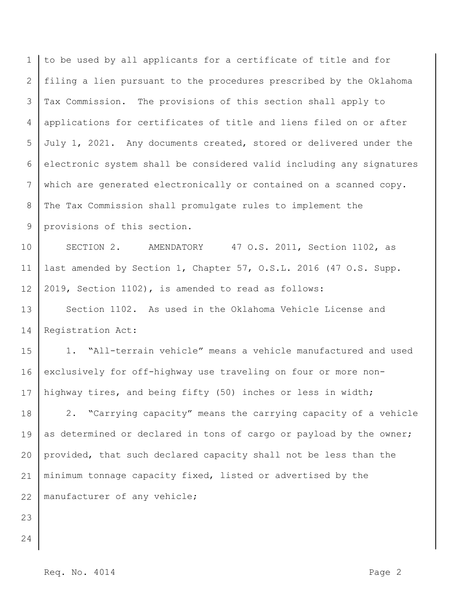1 2 3 4 5 6 7 8 9 to be used by all applicants for a certificate of title and for filing a lien pursuant to the procedures prescribed by the Oklahoma Tax Commission. The provisions of this section shall apply to applications for certificates of title and liens filed on or after July 1, 2021. Any documents created, stored or delivered under the electronic system shall be considered valid including any signatures which are generated electronically or contained on a scanned copy. The Tax Commission shall promulgate rules to implement the provisions of this section.

10 11 12 SECTION 2. AMENDATORY 47 O.S. 2011, Section 1102, as last amended by Section 1, Chapter 57, O.S.L. 2016 (47 O.S. Supp. 2019, Section 1102), is amended to read as follows:

13 14 Section 1102. As used in the Oklahoma Vehicle License and Registration Act:

15 16 17 1. "All-terrain vehicle" means a vehicle manufactured and used exclusively for off-highway use traveling on four or more nonhighway tires, and being fifty (50) inches or less in width;

18 19 20 21 22 2. "Carrying capacity" means the carrying capacity of a vehicle as determined or declared in tons of cargo or payload by the owner; provided, that such declared capacity shall not be less than the minimum tonnage capacity fixed, listed or advertised by the manufacturer of any vehicle;

- 23
- 24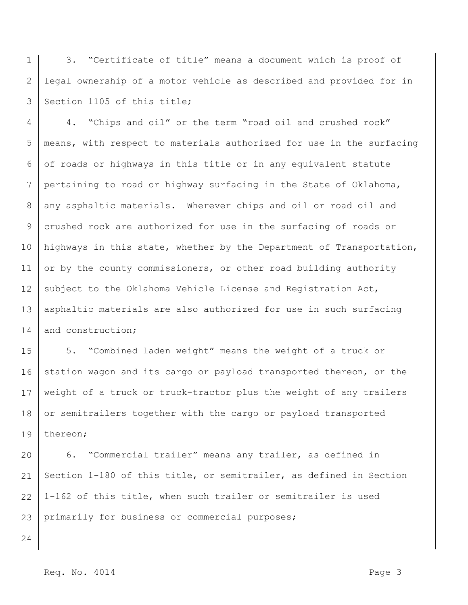1 2 3 3. "Certificate of title" means a document which is proof of legal ownership of a motor vehicle as described and provided for in Section 1105 of this title;

4 5 6 7 8 9 10 11 12 13 14 4. "Chips and oil" or the term "road oil and crushed rock" means, with respect to materials authorized for use in the surfacing of roads or highways in this title or in any equivalent statute pertaining to road or highway surfacing in the State of Oklahoma, any asphaltic materials. Wherever chips and oil or road oil and crushed rock are authorized for use in the surfacing of roads or highways in this state, whether by the Department of Transportation, or by the county commissioners, or other road building authority subject to the Oklahoma Vehicle License and Registration Act, asphaltic materials are also authorized for use in such surfacing and construction;

15 16 17 18 19 5. "Combined laden weight" means the weight of a truck or station wagon and its cargo or payload transported thereon, or the weight of a truck or truck-tractor plus the weight of any trailers or semitrailers together with the cargo or payload transported thereon;

20 21 22 23 6. "Commercial trailer" means any trailer, as defined in Section 1-180 of this title, or semitrailer, as defined in Section 1-162 of this title, when such trailer or semitrailer is used primarily for business or commercial purposes;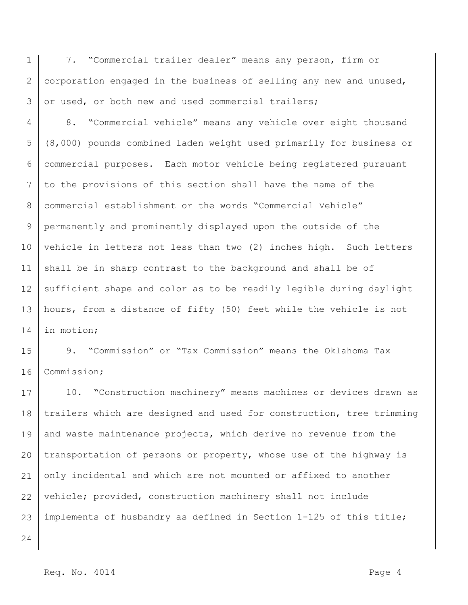1 2 3 7. "Commercial trailer dealer" means any person, firm or corporation engaged in the business of selling any new and unused, or used, or both new and used commercial trailers;

4 5 6 7 8 9 10 11 12 13 14 8. "Commercial vehicle" means any vehicle over eight thousand (8,000) pounds combined laden weight used primarily for business or commercial purposes. Each motor vehicle being registered pursuant to the provisions of this section shall have the name of the commercial establishment or the words "Commercial Vehicle" permanently and prominently displayed upon the outside of the vehicle in letters not less than two (2) inches high. Such letters shall be in sharp contrast to the background and shall be of sufficient shape and color as to be readily legible during daylight hours, from a distance of fifty (50) feet while the vehicle is not in motion;

15 16 9. "Commission" or "Tax Commission" means the Oklahoma Tax Commission;

17 18 19 20 21 22 23 10. "Construction machinery" means machines or devices drawn as trailers which are designed and used for construction, tree trimming and waste maintenance projects, which derive no revenue from the transportation of persons or property, whose use of the highway is only incidental and which are not mounted or affixed to another vehicle; provided, construction machinery shall not include implements of husbandry as defined in Section 1-125 of this title;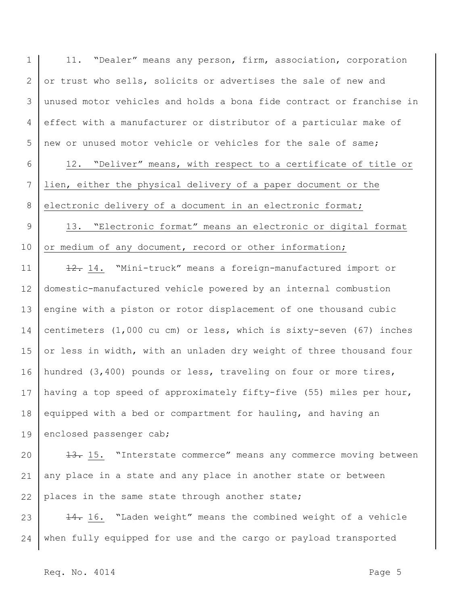1 2 3 4 5 6 7 8 9 10 11 12 13 14 15 16 17 18 19 20 21 22 23 24 11. "Dealer" means any person, firm, association, corporation or trust who sells, solicits or advertises the sale of new and unused motor vehicles and holds a bona fide contract or franchise in effect with a manufacturer or distributor of a particular make of new or unused motor vehicle or vehicles for the sale of same; 12. "Deliver" means, with respect to a certificate of title or lien, either the physical delivery of a paper document or the electronic delivery of a document in an electronic format; 13. "Electronic format" means an electronic or digital format or medium of any document, record or other information; 12. 14. "Mini-truck" means a foreign-manufactured import or domestic-manufactured vehicle powered by an internal combustion engine with a piston or rotor displacement of one thousand cubic centimeters (1,000 cu cm) or less, which is sixty-seven (67) inches or less in width, with an unladen dry weight of three thousand four hundred (3,400) pounds or less, traveling on four or more tires, having a top speed of approximately fifty-five (55) miles per hour, equipped with a bed or compartment for hauling, and having an enclosed passenger cab; 13. 15. "Interstate commerce" means any commerce moving between any place in a state and any place in another state or between places in the same state through another state; 14. 16. "Laden weight" means the combined weight of a vehicle when fully equipped for use and the cargo or payload transported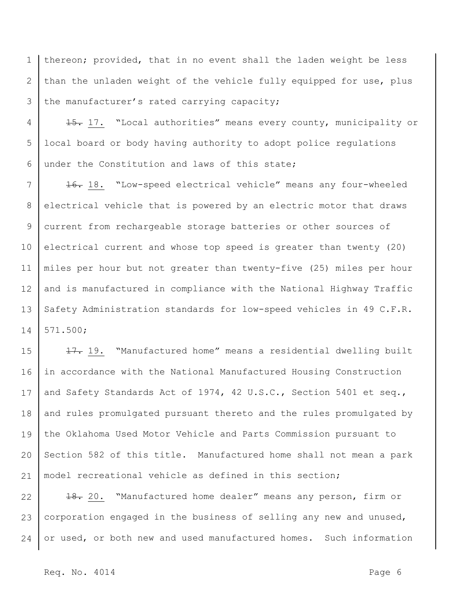1 2 3 thereon; provided, that in no event shall the laden weight be less than the unladen weight of the vehicle fully equipped for use, plus the manufacturer's rated carrying capacity;

4 5 6 15. 17. "Local authorities" means every county, municipality or local board or body having authority to adopt police regulations under the Constitution and laws of this state;

7 8 9 10 11 12 13 14 16. 18. "Low-speed electrical vehicle" means any four-wheeled electrical vehicle that is powered by an electric motor that draws current from rechargeable storage batteries or other sources of electrical current and whose top speed is greater than twenty (20) miles per hour but not greater than twenty-five (25) miles per hour and is manufactured in compliance with the National Highway Traffic Safety Administration standards for low-speed vehicles in 49 C.F.R. 571.500;

15 16 17 18 19 20 21 17. 19. "Manufactured home" means a residential dwelling built in accordance with the National Manufactured Housing Construction and Safety Standards Act of 1974, 42 U.S.C., Section 5401 et seq., and rules promulgated pursuant thereto and the rules promulgated by the Oklahoma Used Motor Vehicle and Parts Commission pursuant to Section 582 of this title. Manufactured home shall not mean a park model recreational vehicle as defined in this section;

22 23 24 18. 20. "Manufactured home dealer" means any person, firm or corporation engaged in the business of selling any new and unused, or used, or both new and used manufactured homes. Such information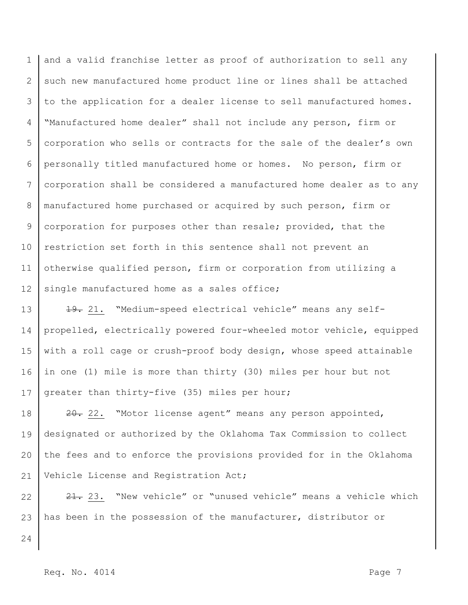1 2 3 4 5 6 7 8 9 10 11 12 and a valid franchise letter as proof of authorization to sell any such new manufactured home product line or lines shall be attached to the application for a dealer license to sell manufactured homes. "Manufactured home dealer" shall not include any person, firm or corporation who sells or contracts for the sale of the dealer's own personally titled manufactured home or homes. No person, firm or corporation shall be considered a manufactured home dealer as to any manufactured home purchased or acquired by such person, firm or corporation for purposes other than resale; provided, that the restriction set forth in this sentence shall not prevent an otherwise qualified person, firm or corporation from utilizing a single manufactured home as a sales office;

13 14 15 16 17 19. 21. "Medium-speed electrical vehicle" means any selfpropelled, electrically powered four-wheeled motor vehicle, equipped with a roll cage or crush-proof body design, whose speed attainable in one (1) mile is more than thirty (30) miles per hour but not greater than thirty-five (35) miles per hour;

18 19 20 21 20. "Motor license agent" means any person appointed, designated or authorized by the Oklahoma Tax Commission to collect the fees and to enforce the provisions provided for in the Oklahoma Vehicle License and Registration Act;

22 23 21. 23. "New vehicle" or "unused vehicle" means a vehicle which has been in the possession of the manufacturer, distributor or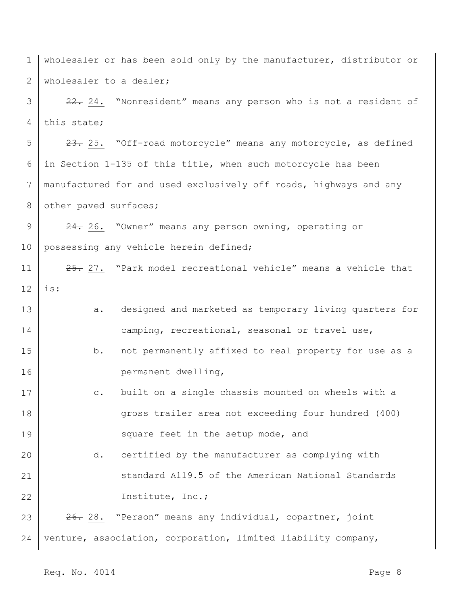1 2 wholesaler or has been sold only by the manufacturer, distributor or wholesaler to a dealer;

3 4 22. 24. "Nonresident" means any person who is not a resident of this state;

5 6 7 8 23. 25. "Off-road motorcycle" means any motorcycle, as defined in Section 1-135 of this title, when such motorcycle has been manufactured for and used exclusively off roads, highways and any other paved surfaces;

9 10 24. 26. "Owner" means any person owning, operating or possessing any vehicle herein defined;

11 12 25. 27. "Park model recreational vehicle" means a vehicle that is:

- 13 14 a. designed and marketed as temporary living quarters for camping, recreational, seasonal or travel use,
- 15 16 b. not permanently affixed to real property for use as a permanent dwelling,
- 17 18 19 c. built on a single chassis mounted on wheels with a gross trailer area not exceeding four hundred (400) square feet in the setup mode, and
- 20 21 22 d. certified by the manufacturer as complying with standard A119.5 of the American National Standards Institute, Inc.;

23 24 26. 28. "Person" means any individual, copartner, joint venture, association, corporation, limited liability company,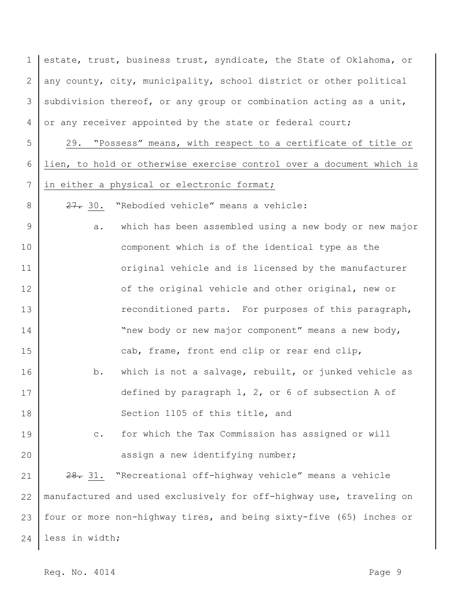1 2 3 4 estate, trust, business trust, syndicate, the State of Oklahoma, or any county, city, municipality, school district or other political subdivision thereof, or any group or combination acting as a unit, or any receiver appointed by the state or federal court;

5 6 7 29. "Possess" means, with respect to a certificate of title or lien, to hold or otherwise exercise control over a document which is in either a physical or electronic format;

27. 30. "Rebodied vehicle" means a vehicle:

9 10 11 12 13 14 15 16 17 18 a. which has been assembled using a new body or new major component which is of the identical type as the original vehicle and is licensed by the manufacturer of the original vehicle and other original, new or reconditioned parts. For purposes of this paragraph, "new body or new major component" means a new body, cab, frame, front end clip or rear end clip, b. which is not a salvage, rebuilt, or junked vehicle as defined by paragraph 1, 2, or 6 of subsection A of Section 1105 of this title, and

19 20 c. for which the Tax Commission has assigned or will assign a new identifying number;

21 22 23 24 28. 31. "Recreational off-highway vehicle" means a vehicle manufactured and used exclusively for off-highway use, traveling on four or more non-highway tires, and being sixty-five (65) inches or less in width;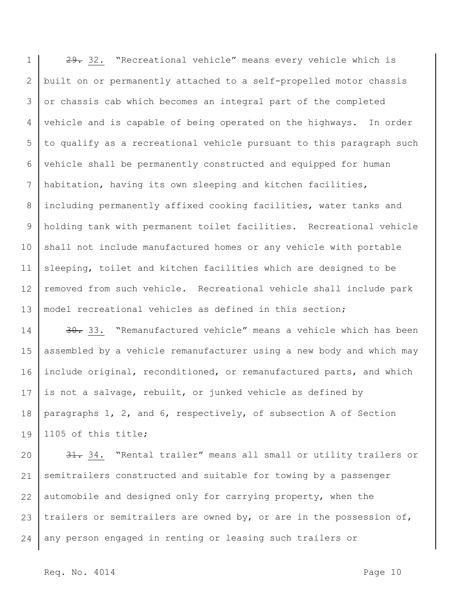1 2 3 4 5 6 7 8 9 10 11 12 13 29. 32. "Recreational vehicle" means every vehicle which is built on or permanently attached to a self-propelled motor chassis or chassis cab which becomes an integral part of the completed vehicle and is capable of being operated on the highways. In order to qualify as a recreational vehicle pursuant to this paragraph such vehicle shall be permanently constructed and equipped for human habitation, having its own sleeping and kitchen facilities, including permanently affixed cooking facilities, water tanks and holding tank with permanent toilet facilities. Recreational vehicle shall not include manufactured homes or any vehicle with portable sleeping, toilet and kitchen facilities which are designed to be removed from such vehicle. Recreational vehicle shall include park model recreational vehicles as defined in this section;

14 15 16 17 18 19 30. "Remanufactured vehicle" means a vehicle which has been assembled by a vehicle remanufacturer using a new body and which may include original, reconditioned, or remanufactured parts, and which is not a salvage, rebuilt, or junked vehicle as defined by paragraphs 1, 2, and 6, respectively, of subsection A of Section 1105 of this title;

20 21 22 23 24 31. 34. "Rental trailer" means all small or utility trailers or semitrailers constructed and suitable for towing by a passenger automobile and designed only for carrying property, when the trailers or semitrailers are owned by, or are in the possession of, any person engaged in renting or leasing such trailers or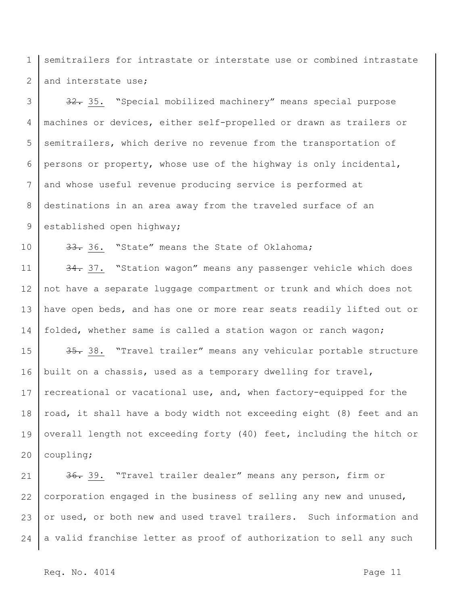1 2 semitrailers for intrastate or interstate use or combined intrastate and interstate use;

3 4 5 6 7 8 9 32. 35. "Special mobilized machinery" means special purpose machines or devices, either self-propelled or drawn as trailers or semitrailers, which derive no revenue from the transportation of persons or property, whose use of the highway is only incidental, and whose useful revenue producing service is performed at destinations in an area away from the traveled surface of an established open highway;

10 33. 36. "State" means the State of Oklahoma;

11 12 13 14 34. 37. "Station wagon" means any passenger vehicle which does not have a separate luggage compartment or trunk and which does not have open beds, and has one or more rear seats readily lifted out or folded, whether same is called a station wagon or ranch wagon;

15 16 17 18 19 20 35. 38. "Travel trailer" means any vehicular portable structure built on a chassis, used as a temporary dwelling for travel, recreational or vacational use, and, when factory-equipped for the road, it shall have a body width not exceeding eight (8) feet and an overall length not exceeding forty (40) feet, including the hitch or coupling;

21 22 23 24 36. 39. "Travel trailer dealer" means any person, firm or corporation engaged in the business of selling any new and unused, or used, or both new and used travel trailers. Such information and a valid franchise letter as proof of authorization to sell any such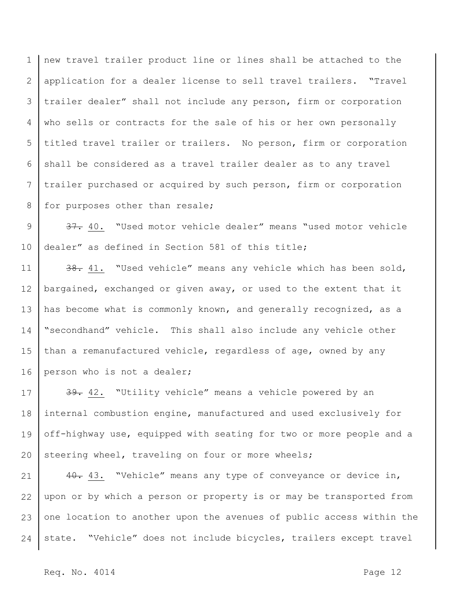1 2 3 4 5 6 7 8 new travel trailer product line or lines shall be attached to the application for a dealer license to sell travel trailers. "Travel trailer dealer" shall not include any person, firm or corporation who sells or contracts for the sale of his or her own personally titled travel trailer or trailers. No person, firm or corporation shall be considered as a travel trailer dealer as to any travel trailer purchased or acquired by such person, firm or corporation for purposes other than resale;

9 10 37. 40. "Used motor vehicle dealer" means "used motor vehicle dealer" as defined in Section 581 of this title;

11 12 13 14 15 16 38. 41. "Used vehicle" means any vehicle which has been sold, bargained, exchanged or given away, or used to the extent that it has become what is commonly known, and generally recognized, as a "secondhand" vehicle. This shall also include any vehicle other than a remanufactured vehicle, regardless of age, owned by any person who is not a dealer;

17 18 19 20 39. 42. "Utility vehicle" means a vehicle powered by an internal combustion engine, manufactured and used exclusively for off-highway use, equipped with seating for two or more people and a steering wheel, traveling on four or more wheels;

21 22 23 24 40. 43. "Vehicle" means any type of conveyance or device in, upon or by which a person or property is or may be transported from one location to another upon the avenues of public access within the state. "Vehicle" does not include bicycles, trailers except travel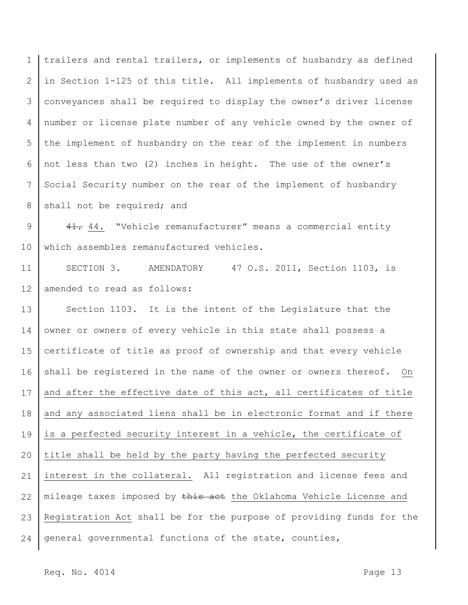1 2 3 4 5 6 7 8 trailers and rental trailers, or implements of husbandry as defined in Section 1-125 of this title. All implements of husbandry used as conveyances shall be required to display the owner's driver license number or license plate number of any vehicle owned by the owner of the implement of husbandry on the rear of the implement in numbers not less than two (2) inches in height. The use of the owner's Social Security number on the rear of the implement of husbandry shall not be required; and

9 10 41. 44. "Vehicle remanufacturer" means a commercial entity which assembles remanufactured vehicles.

11 12 SECTION 3. AMENDATORY 47 O.S. 2011, Section 1103, is amended to read as follows:

13 14 15 16 17 18 19 20 21 22 23 24 Section 1103. It is the intent of the Legislature that the owner or owners of every vehicle in this state shall possess a certificate of title as proof of ownership and that every vehicle shall be registered in the name of the owner or owners thereof. On and after the effective date of this act, all certificates of title and any associated liens shall be in electronic format and if there is a perfected security interest in a vehicle, the certificate of title shall be held by the party having the perfected security interest in the collateral. All registration and license fees and mileage taxes imposed by this act the Oklahoma Vehicle License and Registration Act shall be for the purpose of providing funds for the general governmental functions of the state, counties,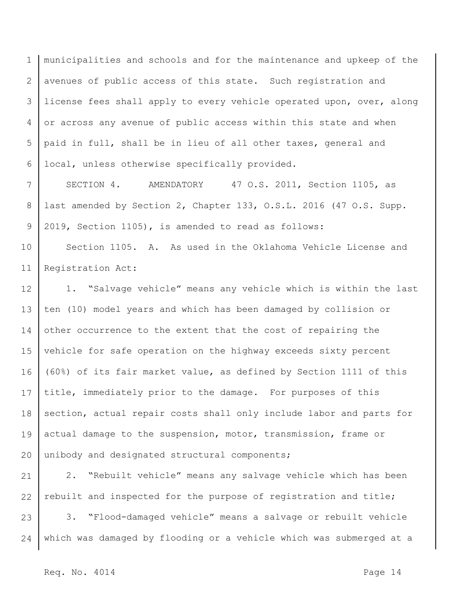1 2 3 4 5 6 municipalities and schools and for the maintenance and upkeep of the avenues of public access of this state. Such registration and license fees shall apply to every vehicle operated upon, over, along or across any avenue of public access within this state and when paid in full, shall be in lieu of all other taxes, general and local, unless otherwise specifically provided.

7 8 9 SECTION 4. AMENDATORY 47 O.S. 2011, Section 1105, as last amended by Section 2, Chapter 133, O.S.L. 2016 (47 O.S. Supp. 2019, Section 1105), is amended to read as follows:

10 11 Section 1105. A. As used in the Oklahoma Vehicle License and Registration Act:

12 13 14 15 16 17 18 19 20 1. "Salvage vehicle" means any vehicle which is within the last ten (10) model years and which has been damaged by collision or other occurrence to the extent that the cost of repairing the vehicle for safe operation on the highway exceeds sixty percent (60%) of its fair market value, as defined by Section 1111 of this title, immediately prior to the damage. For purposes of this section, actual repair costs shall only include labor and parts for actual damage to the suspension, motor, transmission, frame or unibody and designated structural components;

21 22 23 24 2. "Rebuilt vehicle" means any salvage vehicle which has been rebuilt and inspected for the purpose of registration and title; 3. "Flood-damaged vehicle" means a salvage or rebuilt vehicle which was damaged by flooding or a vehicle which was submerged at a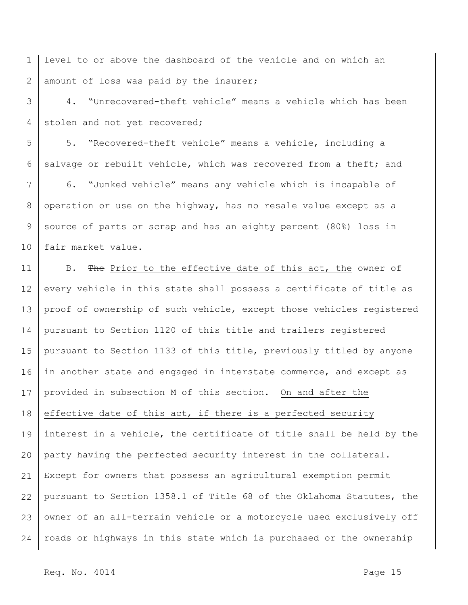1 2 level to or above the dashboard of the vehicle and on which an amount of loss was paid by the insurer;

3 4 4. "Unrecovered-theft vehicle" means a vehicle which has been stolen and not yet recovered;

5 6 5. "Recovered-theft vehicle" means a vehicle, including a salvage or rebuilt vehicle, which was recovered from a theft; and

7 8 9 10 6. "Junked vehicle" means any vehicle which is incapable of operation or use on the highway, has no resale value except as a source of parts or scrap and has an eighty percent (80%) loss in fair market value.

11 12 13 14 15 16 17 18 19 20 21 22 23 24 B. The Prior to the effective date of this act, the owner of every vehicle in this state shall possess a certificate of title as proof of ownership of such vehicle, except those vehicles registered pursuant to Section 1120 of this title and trailers registered pursuant to Section 1133 of this title, previously titled by anyone in another state and engaged in interstate commerce, and except as provided in subsection M of this section. On and after the effective date of this act, if there is a perfected security interest in a vehicle, the certificate of title shall be held by the party having the perfected security interest in the collateral. Except for owners that possess an agricultural exemption permit pursuant to Section 1358.1 of Title 68 of the Oklahoma Statutes, the owner of an all-terrain vehicle or a motorcycle used exclusively off roads or highways in this state which is purchased or the ownership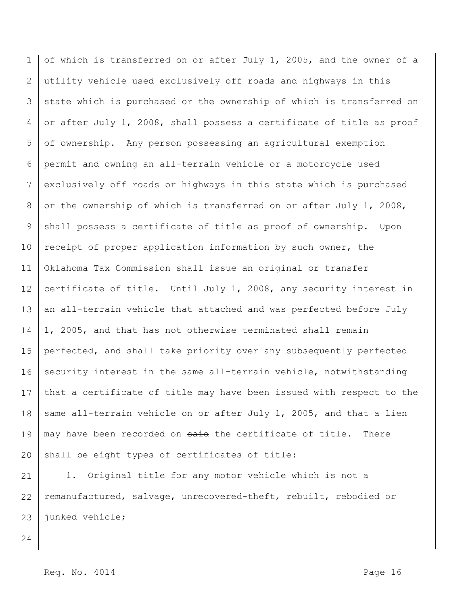1 2 3 4 5 6 7 8 9 10 11 12 13 14 15 16 17 18 19 20 of which is transferred on or after July 1, 2005, and the owner of a utility vehicle used exclusively off roads and highways in this state which is purchased or the ownership of which is transferred on or after July 1, 2008, shall possess a certificate of title as proof of ownership. Any person possessing an agricultural exemption permit and owning an all-terrain vehicle or a motorcycle used exclusively off roads or highways in this state which is purchased or the ownership of which is transferred on or after July 1, 2008, shall possess a certificate of title as proof of ownership. Upon receipt of proper application information by such owner, the Oklahoma Tax Commission shall issue an original or transfer certificate of title. Until July 1, 2008, any security interest in an all-terrain vehicle that attached and was perfected before July 1, 2005, and that has not otherwise terminated shall remain perfected, and shall take priority over any subsequently perfected security interest in the same all-terrain vehicle, notwithstanding that a certificate of title may have been issued with respect to the same all-terrain vehicle on or after July 1, 2005, and that a lien may have been recorded on said the certificate of title. There shall be eight types of certificates of title:

21 22 23 1. Original title for any motor vehicle which is not a remanufactured, salvage, unrecovered-theft, rebuilt, rebodied or junked vehicle;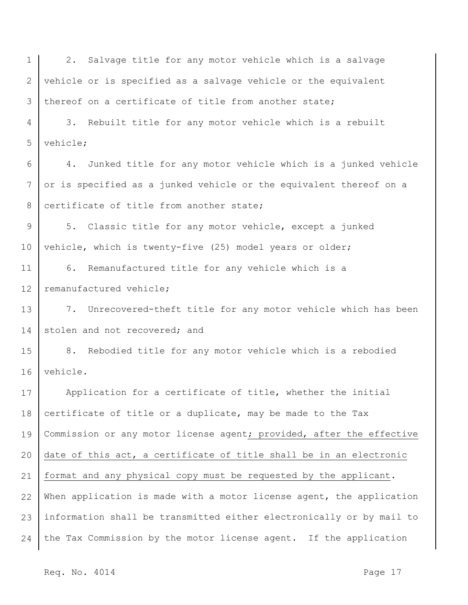1 2 3 2. Salvage title for any motor vehicle which is a salvage vehicle or is specified as a salvage vehicle or the equivalent thereof on a certificate of title from another state;

4 5 3. Rebuilt title for any motor vehicle which is a rebuilt vehicle;

6 7 8 4. Junked title for any motor vehicle which is a junked vehicle or is specified as a junked vehicle or the equivalent thereof on a certificate of title from another state;

9 10 5. Classic title for any motor vehicle, except a junked vehicle, which is twenty-five (25) model years or older;

11 12 6. Remanufactured title for any vehicle which is a remanufactured vehicle;

13 14 7. Unrecovered-theft title for any motor vehicle which has been stolen and not recovered; and

15 16 8. Rebodied title for any motor vehicle which is a rebodied vehicle.

17 18 19 20 21 22 23 24 Application for a certificate of title, whether the initial certificate of title or a duplicate, may be made to the Tax Commission or any motor license agent; provided, after the effective date of this act, a certificate of title shall be in an electronic format and any physical copy must be requested by the applicant. When application is made with a motor license agent, the application information shall be transmitted either electronically or by mail to the Tax Commission by the motor license agent. If the application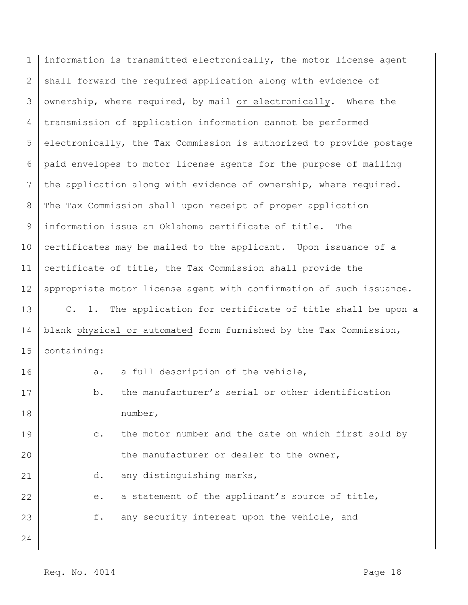| $\mathbf 1$ | information is transmitted electronically, the motor license agent     |
|-------------|------------------------------------------------------------------------|
| 2           | shall forward the required application along with evidence of          |
| 3           | ownership, where required, by mail or electronically. Where the        |
| 4           | transmission of application information cannot be performed            |
| 5           | electronically, the Tax Commission is authorized to provide postage    |
| 6           | paid envelopes to motor license agents for the purpose of mailing      |
| 7           | the application along with evidence of ownership, where required.      |
| 8           | The Tax Commission shall upon receipt of proper application            |
| 9           | information issue an Oklahoma certificate of title.<br>The             |
| 10          | certificates may be mailed to the applicant. Upon issuance of a        |
| 11          | certificate of title, the Tax Commission shall provide the             |
| 12          | appropriate motor license agent with confirmation of such issuance.    |
| 13          | C. 1. The application for certificate of title shall be upon a         |
| 14          | blank physical or automated form furnished by the Tax Commission,      |
| 15          | containing:                                                            |
| 16          | a full description of the vehicle,<br>a.                               |
| 17          | the manufacturer's serial or other identification<br>b.                |
| 18          | number,                                                                |
| 19          | the motor number and the date on which first sold by<br>$\mathbb{C}$ . |
| 20          | the manufacturer or dealer to the owner,                               |
| 21          | any distinguishing marks,<br>d.                                        |
| 22          | a statement of the applicant's source of title,<br>е.                  |
| 23          | f.<br>any security interest upon the vehicle, and                      |
| 24          |                                                                        |
|             |                                                                        |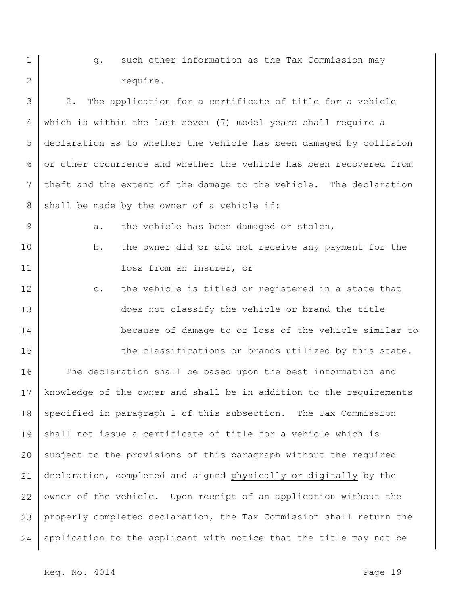g. such other information as the Tax Commission may require.

3 4 5 6 7 8 2. The application for a certificate of title for a vehicle which is within the last seven (7) model years shall require a declaration as to whether the vehicle has been damaged by collision or other occurrence and whether the vehicle has been recovered from theft and the extent of the damage to the vehicle. The declaration shall be made by the owner of a vehicle if:

9 a. the vehicle has been damaged or stolen,

- 10 11 b. the owner did or did not receive any payment for the loss from an insurer, or
- 12 13 14 c. the vehicle is titled or registered in a state that does not classify the vehicle or brand the title because of damage to or loss of the vehicle similar to

the classifications or brands utilized by this state.

16 17 18 19 20 21 22 23 24 The declaration shall be based upon the best information and knowledge of the owner and shall be in addition to the requirements specified in paragraph 1 of this subsection. The Tax Commission shall not issue a certificate of title for a vehicle which is subject to the provisions of this paragraph without the required declaration, completed and signed physically or digitally by the owner of the vehicle. Upon receipt of an application without the properly completed declaration, the Tax Commission shall return the application to the applicant with notice that the title may not be

1

2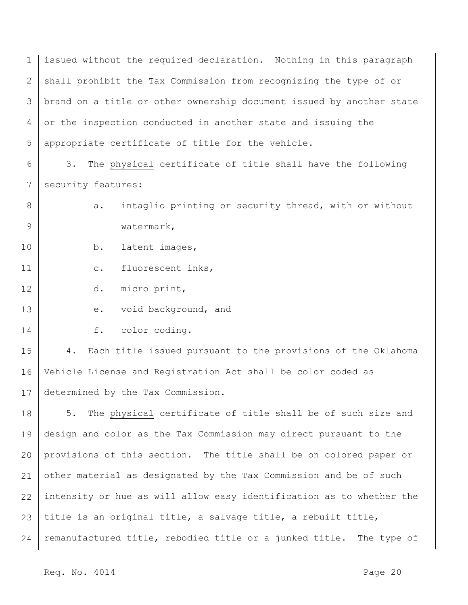1 2 3 4 5 issued without the required declaration. Nothing in this paragraph shall prohibit the Tax Commission from recognizing the type of or brand on a title or other ownership document issued by another state or the inspection conducted in another state and issuing the appropriate certificate of title for the vehicle.

6 7 3. The physical certificate of title shall have the following security features:

8 9 a. intaglio printing or security thread, with or without watermark,

10 b. latent images,

11 c. fluorescent inks,

12 d. micro print,

- 13 e. void background, and
- 14 f. color coding.

15 16 17 4. Each title issued pursuant to the provisions of the Oklahoma Vehicle License and Registration Act shall be color coded as determined by the Tax Commission.

18 19 20 21 22 23 24 5. The physical certificate of title shall be of such size and design and color as the Tax Commission may direct pursuant to the provisions of this section. The title shall be on colored paper or other material as designated by the Tax Commission and be of such intensity or hue as will allow easy identification as to whether the title is an original title, a salvage title, a rebuilt title, remanufactured title, rebodied title or a junked title. The type of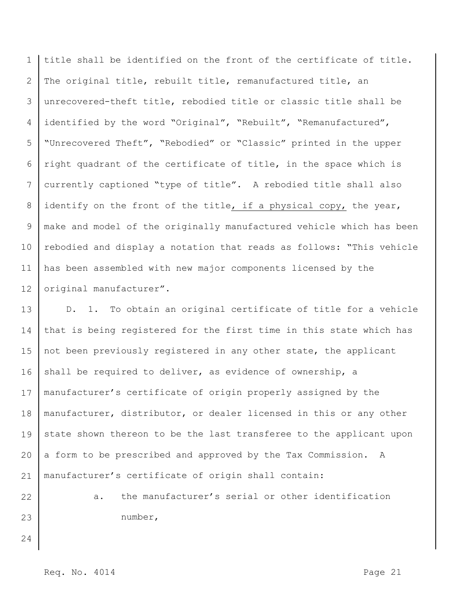1 2 3 4 5 6 7 8 9 10 11 12 title shall be identified on the front of the certificate of title. The original title, rebuilt title, remanufactured title, an unrecovered-theft title, rebodied title or classic title shall be identified by the word "Original", "Rebuilt", "Remanufactured", "Unrecovered Theft", "Rebodied" or "Classic" printed in the upper right quadrant of the certificate of title, in the space which is currently captioned "type of title". A rebodied title shall also identify on the front of the title, if a physical copy, the year, make and model of the originally manufactured vehicle which has been rebodied and display a notation that reads as follows: "This vehicle has been assembled with new major components licensed by the original manufacturer".

13 14 15 16 17 18 19 20 21 D. 1. To obtain an original certificate of title for a vehicle that is being registered for the first time in this state which has not been previously registered in any other state, the applicant shall be required to deliver, as evidence of ownership, a manufacturer's certificate of origin properly assigned by the manufacturer, distributor, or dealer licensed in this or any other state shown thereon to be the last transferee to the applicant upon a form to be prescribed and approved by the Tax Commission. A manufacturer's certificate of origin shall contain:

22

23

a. the manufacturer's serial or other identification number,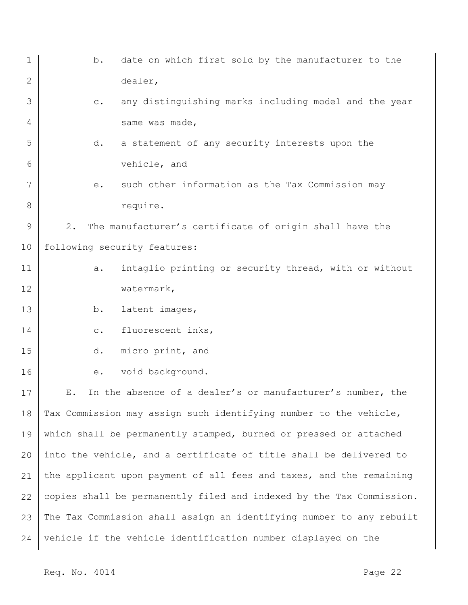| $\mathbf 1$ | date on which first sold by the manufacturer to the<br>b.               |
|-------------|-------------------------------------------------------------------------|
| 2           | dealer,                                                                 |
| 3           | any distinguishing marks including model and the year<br>$\mathtt{C}$ . |
| 4           | same was made,                                                          |
| 5           | a statement of any security interests upon the<br>d.                    |
| 6           | vehicle, and                                                            |
| 7           | such other information as the Tax Commission may<br>е.                  |
| 8           | require.                                                                |
| 9           | 2.<br>The manufacturer's certificate of origin shall have the           |
| 10          | following security features:                                            |
| 11          | intaglio printing or security thread, with or without<br>a.             |
| 12          | watermark,                                                              |
| 13          | latent images,<br>b.                                                    |
| 14          | fluorescent inks,<br>$\mathtt{C}$ .                                     |
| 15          | micro print, and<br>d.                                                  |
| 16          | void background.<br>е.                                                  |
| 17          | In the absence of a dealer's or manufacturer's number, the<br>Ε.        |
| 18          | Tax Commission may assign such identifying number to the vehicle,       |
| 19          | which shall be permanently stamped, burned or pressed or attached       |
| 20          | into the vehicle, and a certificate of title shall be delivered to      |
| 21          | the applicant upon payment of all fees and taxes, and the remaining     |
| 22          | copies shall be permanently filed and indexed by the Tax Commission.    |
| 23          | The Tax Commission shall assign an identifying number to any rebuilt    |
| 24          | vehicle if the vehicle identification number displayed on the           |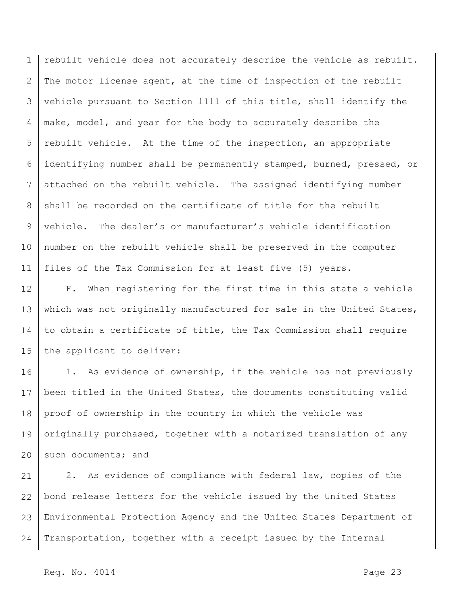1 2 3 4 5 6 7 8 9 10 11 rebuilt vehicle does not accurately describe the vehicle as rebuilt. The motor license agent, at the time of inspection of the rebuilt vehicle pursuant to Section 1111 of this title, shall identify the make, model, and year for the body to accurately describe the rebuilt vehicle. At the time of the inspection, an appropriate identifying number shall be permanently stamped, burned, pressed, or attached on the rebuilt vehicle. The assigned identifying number shall be recorded on the certificate of title for the rebuilt vehicle. The dealer's or manufacturer's vehicle identification number on the rebuilt vehicle shall be preserved in the computer files of the Tax Commission for at least five (5) years.

12 13 14 15 F. When registering for the first time in this state a vehicle which was not originally manufactured for sale in the United States, to obtain a certificate of title, the Tax Commission shall require the applicant to deliver:

16 17 18 19 20 1. As evidence of ownership, if the vehicle has not previously been titled in the United States, the documents constituting valid proof of ownership in the country in which the vehicle was originally purchased, together with a notarized translation of any such documents; and

21 22 23 24 2. As evidence of compliance with federal law, copies of the bond release letters for the vehicle issued by the United States Environmental Protection Agency and the United States Department of Transportation, together with a receipt issued by the Internal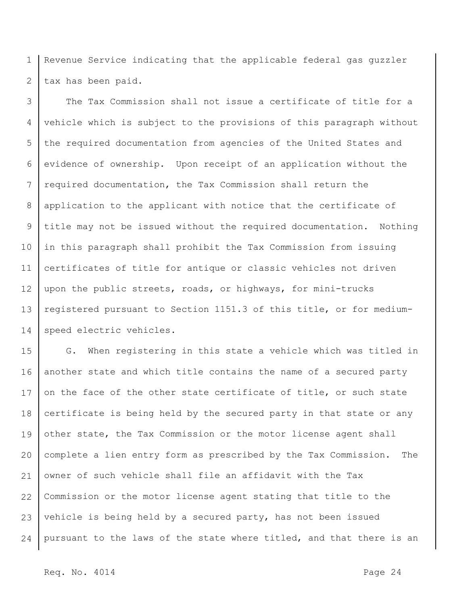1 2 Revenue Service indicating that the applicable federal gas guzzler tax has been paid.

3 4 5 6 7 8 9 10 11 12 13 14 The Tax Commission shall not issue a certificate of title for a vehicle which is subject to the provisions of this paragraph without the required documentation from agencies of the United States and evidence of ownership. Upon receipt of an application without the required documentation, the Tax Commission shall return the application to the applicant with notice that the certificate of title may not be issued without the required documentation. Nothing in this paragraph shall prohibit the Tax Commission from issuing certificates of title for antique or classic vehicles not driven upon the public streets, roads, or highways, for mini-trucks registered pursuant to Section 1151.3 of this title, or for mediumspeed electric vehicles.

15 16 17 18 19 20 21 22 23 24 G. When registering in this state a vehicle which was titled in another state and which title contains the name of a secured party on the face of the other state certificate of title, or such state certificate is being held by the secured party in that state or any other state, the Tax Commission or the motor license agent shall complete a lien entry form as prescribed by the Tax Commission. The owner of such vehicle shall file an affidavit with the Tax Commission or the motor license agent stating that title to the vehicle is being held by a secured party, has not been issued pursuant to the laws of the state where titled, and that there is an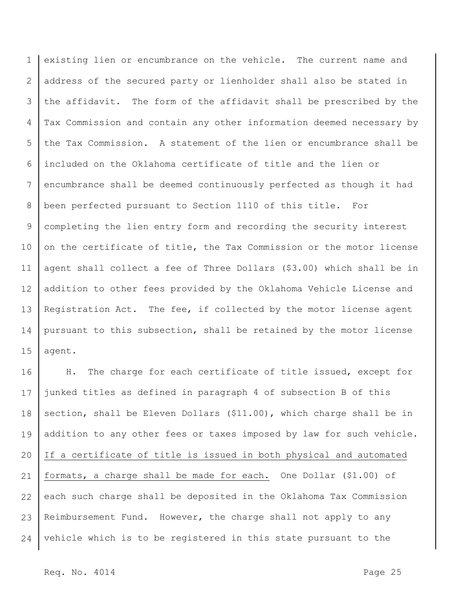1 2 3 4 5 6 7 8 9 10 11 12 13 14 15 existing lien or encumbrance on the vehicle. The current name and address of the secured party or lienholder shall also be stated in the affidavit. The form of the affidavit shall be prescribed by the Tax Commission and contain any other information deemed necessary by the Tax Commission. A statement of the lien or encumbrance shall be included on the Oklahoma certificate of title and the lien or encumbrance shall be deemed continuously perfected as though it had been perfected pursuant to Section 1110 of this title. For completing the lien entry form and recording the security interest on the certificate of title, the Tax Commission or the motor license agent shall collect a fee of Three Dollars (\$3.00) which shall be in addition to other fees provided by the Oklahoma Vehicle License and Registration Act. The fee, if collected by the motor license agent pursuant to this subsection, shall be retained by the motor license agent.

16 17 18 19 20 21 22 23 24 H. The charge for each certificate of title issued, except for junked titles as defined in paragraph 4 of subsection B of this section, shall be Eleven Dollars (\$11.00), which charge shall be in addition to any other fees or taxes imposed by law for such vehicle. If a certificate of title is issued in both physical and automated formats, a charge shall be made for each. One Dollar (\$1.00) of each such charge shall be deposited in the Oklahoma Tax Commission Reimbursement Fund. However, the charge shall not apply to any vehicle which is to be registered in this state pursuant to the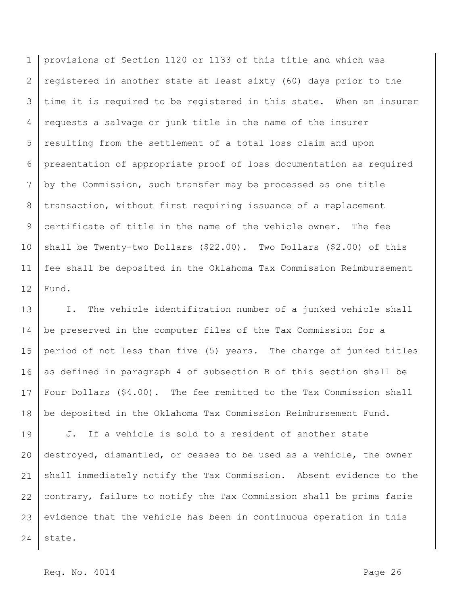1 2 3 4 5 6 7 8 9 10 11 12 provisions of Section 1120 or 1133 of this title and which was registered in another state at least sixty (60) days prior to the time it is required to be registered in this state. When an insurer requests a salvage or junk title in the name of the insurer resulting from the settlement of a total loss claim and upon presentation of appropriate proof of loss documentation as required by the Commission, such transfer may be processed as one title transaction, without first requiring issuance of a replacement certificate of title in the name of the vehicle owner. The fee shall be Twenty-two Dollars (\$22.00). Two Dollars (\$2.00) of this fee shall be deposited in the Oklahoma Tax Commission Reimbursement Fund.

13 14 15 16 17 18 I. The vehicle identification number of a junked vehicle shall be preserved in the computer files of the Tax Commission for a period of not less than five (5) years. The charge of junked titles as defined in paragraph 4 of subsection B of this section shall be Four Dollars (\$4.00). The fee remitted to the Tax Commission shall be deposited in the Oklahoma Tax Commission Reimbursement Fund.

19 20 21 22 23 24 J. If a vehicle is sold to a resident of another state destroyed, dismantled, or ceases to be used as a vehicle, the owner shall immediately notify the Tax Commission. Absent evidence to the contrary, failure to notify the Tax Commission shall be prima facie evidence that the vehicle has been in continuous operation in this state.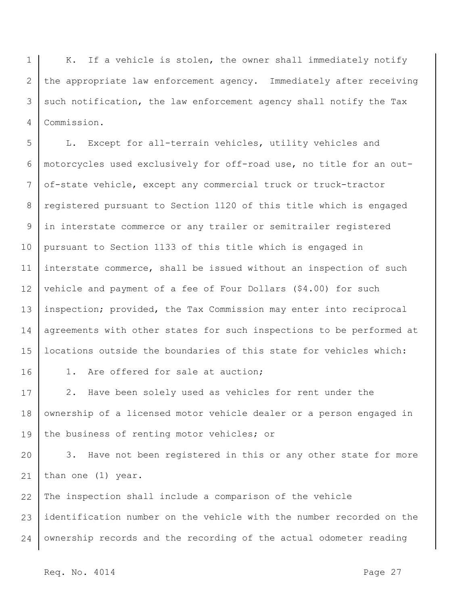1 2 3 4 K. If a vehicle is stolen, the owner shall immediately notify the appropriate law enforcement agency. Immediately after receiving such notification, the law enforcement agency shall notify the Tax Commission.

5 6 7 8 9 10 11 12 13 14 15 L. Except for all-terrain vehicles, utility vehicles and motorcycles used exclusively for off-road use, no title for an outof-state vehicle, except any commercial truck or truck-tractor registered pursuant to Section 1120 of this title which is engaged in interstate commerce or any trailer or semitrailer registered pursuant to Section 1133 of this title which is engaged in interstate commerce, shall be issued without an inspection of such vehicle and payment of a fee of Four Dollars (\$4.00) for such inspection; provided, the Tax Commission may enter into reciprocal agreements with other states for such inspections to be performed at locations outside the boundaries of this state for vehicles which:

16

1. Are offered for sale at auction;

17 18 19 2. Have been solely used as vehicles for rent under the ownership of a licensed motor vehicle dealer or a person engaged in the business of renting motor vehicles; or

20 21 3. Have not been registered in this or any other state for more than one (1) year.

22 23 24 The inspection shall include a comparison of the vehicle identification number on the vehicle with the number recorded on the ownership records and the recording of the actual odometer reading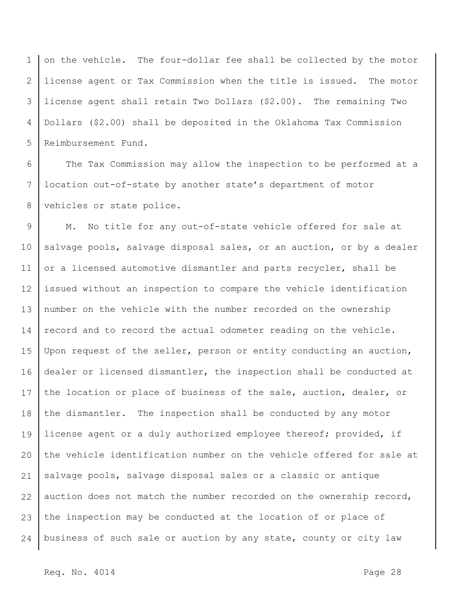1 2 3 4 5 on the vehicle. The four-dollar fee shall be collected by the motor license agent or Tax Commission when the title is issued. The motor license agent shall retain Two Dollars (\$2.00). The remaining Two Dollars (\$2.00) shall be deposited in the Oklahoma Tax Commission Reimbursement Fund.

6 7 8 The Tax Commission may allow the inspection to be performed at a location out-of-state by another state's department of motor vehicles or state police.

9 10 11 12 13 14 15 16 17 18 19 20 21 22 23 24 M. No title for any out-of-state vehicle offered for sale at salvage pools, salvage disposal sales, or an auction, or by a dealer or a licensed automotive dismantler and parts recycler, shall be issued without an inspection to compare the vehicle identification number on the vehicle with the number recorded on the ownership record and to record the actual odometer reading on the vehicle. Upon request of the seller, person or entity conducting an auction, dealer or licensed dismantler, the inspection shall be conducted at the location or place of business of the sale, auction, dealer, or the dismantler. The inspection shall be conducted by any motor license agent or a duly authorized employee thereof; provided, if the vehicle identification number on the vehicle offered for sale at salvage pools, salvage disposal sales or a classic or antique auction does not match the number recorded on the ownership record, the inspection may be conducted at the location of or place of business of such sale or auction by any state, county or city law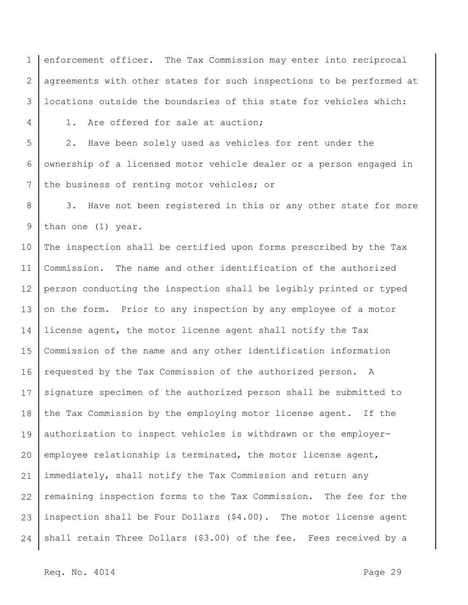1 2 3 enforcement officer. The Tax Commission may enter into reciprocal agreements with other states for such inspections to be performed at locations outside the boundaries of this state for vehicles which:

4

1. Are offered for sale at auction;

5 6 7 2. Have been solely used as vehicles for rent under the ownership of a licensed motor vehicle dealer or a person engaged in the business of renting motor vehicles; or

8 9 3. Have not been registered in this or any other state for more than one (1) year.

10 11 12 13 14 15 16 17 18 19 20 21 22 23 24 The inspection shall be certified upon forms prescribed by the Tax Commission. The name and other identification of the authorized person conducting the inspection shall be legibly printed or typed on the form. Prior to any inspection by any employee of a motor license agent, the motor license agent shall notify the Tax Commission of the name and any other identification information requested by the Tax Commission of the authorized person. A signature specimen of the authorized person shall be submitted to the Tax Commission by the employing motor license agent. If the authorization to inspect vehicles is withdrawn or the employeremployee relationship is terminated, the motor license agent, immediately, shall notify the Tax Commission and return any remaining inspection forms to the Tax Commission. The fee for the inspection shall be Four Dollars (\$4.00). The motor license agent shall retain Three Dollars (\$3.00) of the fee. Fees received by a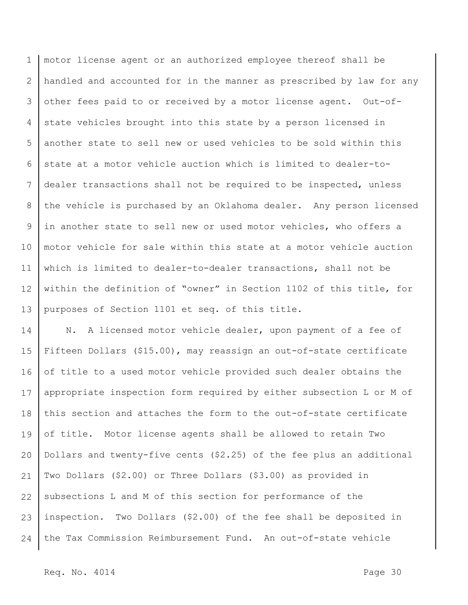1 2 3 4 5 6 7 8 9 10 11 12 13 motor license agent or an authorized employee thereof shall be handled and accounted for in the manner as prescribed by law for any other fees paid to or received by a motor license agent. Out-ofstate vehicles brought into this state by a person licensed in another state to sell new or used vehicles to be sold within this state at a motor vehicle auction which is limited to dealer-todealer transactions shall not be required to be inspected, unless the vehicle is purchased by an Oklahoma dealer. Any person licensed in another state to sell new or used motor vehicles, who offers a motor vehicle for sale within this state at a motor vehicle auction which is limited to dealer-to-dealer transactions, shall not be within the definition of "owner" in Section 1102 of this title, for purposes of Section 1101 et seq. of this title.

14 15 16 17 18 19 20 21 22 23 24 N. A licensed motor vehicle dealer, upon payment of a fee of Fifteen Dollars (\$15.00), may reassign an out-of-state certificate of title to a used motor vehicle provided such dealer obtains the appropriate inspection form required by either subsection L or M of this section and attaches the form to the out-of-state certificate of title. Motor license agents shall be allowed to retain Two Dollars and twenty-five cents (\$2.25) of the fee plus an additional Two Dollars (\$2.00) or Three Dollars (\$3.00) as provided in subsections L and M of this section for performance of the inspection. Two Dollars (\$2.00) of the fee shall be deposited in the Tax Commission Reimbursement Fund. An out-of-state vehicle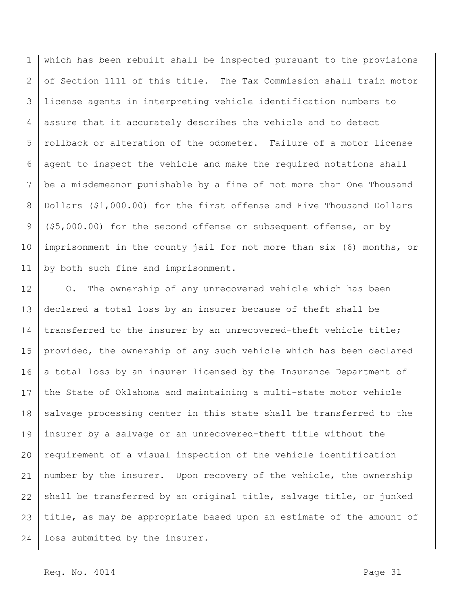1 2 3 4 5 6 7 8 9 10 11 which has been rebuilt shall be inspected pursuant to the provisions of Section 1111 of this title. The Tax Commission shall train motor license agents in interpreting vehicle identification numbers to assure that it accurately describes the vehicle and to detect rollback or alteration of the odometer. Failure of a motor license agent to inspect the vehicle and make the required notations shall be a misdemeanor punishable by a fine of not more than One Thousand Dollars (\$1,000.00) for the first offense and Five Thousand Dollars (\$5,000.00) for the second offense or subsequent offense, or by imprisonment in the county jail for not more than six (6) months, or by both such fine and imprisonment.

12 13 14 15 16 17 18 19 20 21 22 23 24 O. The ownership of any unrecovered vehicle which has been declared a total loss by an insurer because of theft shall be transferred to the insurer by an unrecovered-theft vehicle title; provided, the ownership of any such vehicle which has been declared a total loss by an insurer licensed by the Insurance Department of the State of Oklahoma and maintaining a multi-state motor vehicle salvage processing center in this state shall be transferred to the insurer by a salvage or an unrecovered-theft title without the requirement of a visual inspection of the vehicle identification number by the insurer. Upon recovery of the vehicle, the ownership shall be transferred by an original title, salvage title, or junked title, as may be appropriate based upon an estimate of the amount of loss submitted by the insurer.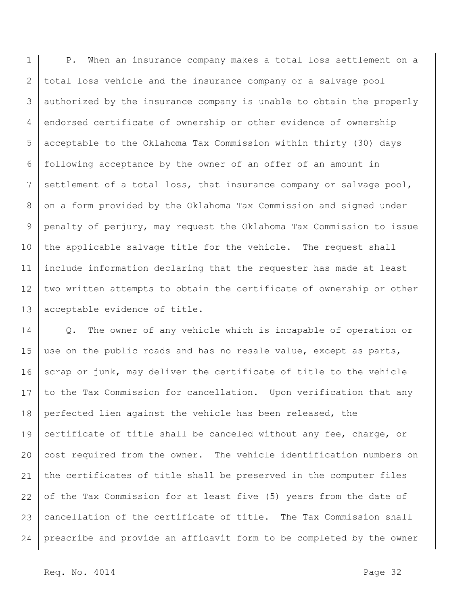1 2 3 4 5 6 7 8 9 10 11 12 13 P. When an insurance company makes a total loss settlement on a total loss vehicle and the insurance company or a salvage pool authorized by the insurance company is unable to obtain the properly endorsed certificate of ownership or other evidence of ownership acceptable to the Oklahoma Tax Commission within thirty (30) days following acceptance by the owner of an offer of an amount in settlement of a total loss, that insurance company or salvage pool, on a form provided by the Oklahoma Tax Commission and signed under penalty of perjury, may request the Oklahoma Tax Commission to issue the applicable salvage title for the vehicle. The request shall include information declaring that the requester has made at least two written attempts to obtain the certificate of ownership or other acceptable evidence of title.

14 15 16 17 18 19 20 21 22 23 24 Q. The owner of any vehicle which is incapable of operation or use on the public roads and has no resale value, except as parts, scrap or junk, may deliver the certificate of title to the vehicle to the Tax Commission for cancellation. Upon verification that any perfected lien against the vehicle has been released, the certificate of title shall be canceled without any fee, charge, or cost required from the owner. The vehicle identification numbers on the certificates of title shall be preserved in the computer files of the Tax Commission for at least five (5) years from the date of cancellation of the certificate of title. The Tax Commission shall prescribe and provide an affidavit form to be completed by the owner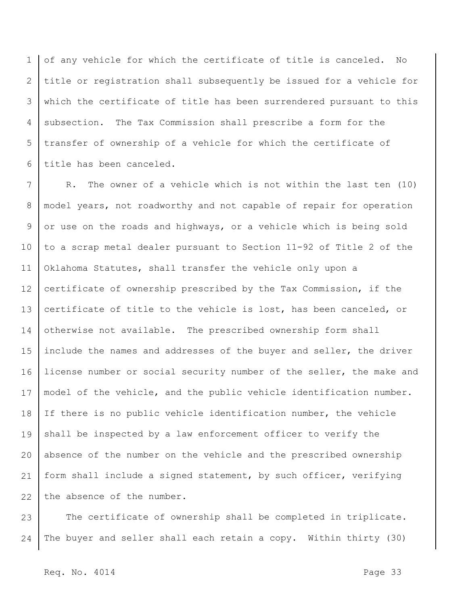1 2 3 4 5 6 of any vehicle for which the certificate of title is canceled. No title or registration shall subsequently be issued for a vehicle for which the certificate of title has been surrendered pursuant to this subsection. The Tax Commission shall prescribe a form for the transfer of ownership of a vehicle for which the certificate of title has been canceled.

7 8 9 10 11 12 13 14 15 16 17 18 19 20 21 22 R. The owner of a vehicle which is not within the last ten (10) model years, not roadworthy and not capable of repair for operation or use on the roads and highways, or a vehicle which is being sold to a scrap metal dealer pursuant to Section 11-92 of Title 2 of the Oklahoma Statutes, shall transfer the vehicle only upon a certificate of ownership prescribed by the Tax Commission, if the certificate of title to the vehicle is lost, has been canceled, or otherwise not available. The prescribed ownership form shall include the names and addresses of the buyer and seller, the driver license number or social security number of the seller, the make and model of the vehicle, and the public vehicle identification number. If there is no public vehicle identification number, the vehicle shall be inspected by a law enforcement officer to verify the absence of the number on the vehicle and the prescribed ownership form shall include a signed statement, by such officer, verifying the absence of the number.

23 24 The certificate of ownership shall be completed in triplicate. The buyer and seller shall each retain a copy. Within thirty (30)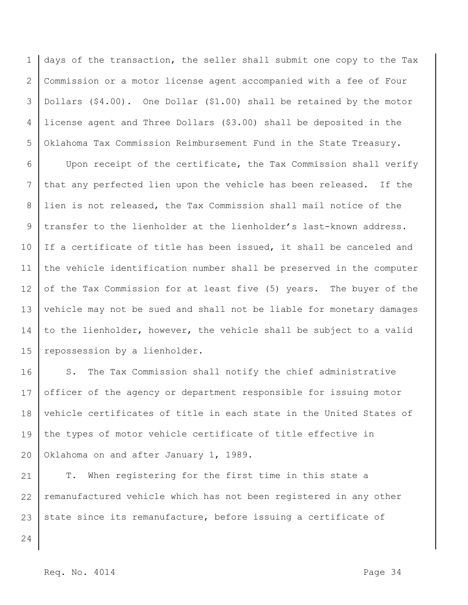1 2 3 4 5 days of the transaction, the seller shall submit one copy to the Tax Commission or a motor license agent accompanied with a fee of Four Dollars (\$4.00). One Dollar (\$1.00) shall be retained by the motor license agent and Three Dollars (\$3.00) shall be deposited in the Oklahoma Tax Commission Reimbursement Fund in the State Treasury.

6 7 8 9 10 11 12 13 14 15 Upon receipt of the certificate, the Tax Commission shall verify that any perfected lien upon the vehicle has been released. If the lien is not released, the Tax Commission shall mail notice of the transfer to the lienholder at the lienholder's last-known address. If a certificate of title has been issued, it shall be canceled and the vehicle identification number shall be preserved in the computer of the Tax Commission for at least five (5) years. The buyer of the vehicle may not be sued and shall not be liable for monetary damages to the lienholder, however, the vehicle shall be subject to a valid repossession by a lienholder.

16 17 18 19 20 S. The Tax Commission shall notify the chief administrative officer of the agency or department responsible for issuing motor vehicle certificates of title in each state in the United States of the types of motor vehicle certificate of title effective in Oklahoma on and after January 1, 1989.

21 22 23 T. When registering for the first time in this state a remanufactured vehicle which has not been registered in any other state since its remanufacture, before issuing a certificate of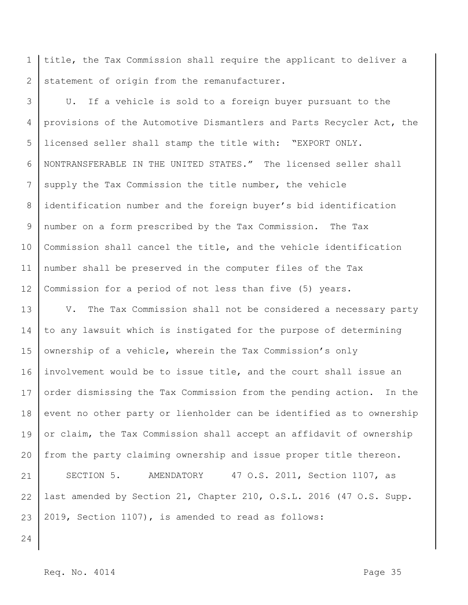1 2 title, the Tax Commission shall require the applicant to deliver a statement of origin from the remanufacturer.

3 4 5 6 7 8 9 10 11 12 U. If a vehicle is sold to a foreign buyer pursuant to the provisions of the Automotive Dismantlers and Parts Recycler Act, the licensed seller shall stamp the title with: "EXPORT ONLY. NONTRANSFERABLE IN THE UNITED STATES." The licensed seller shall supply the Tax Commission the title number, the vehicle identification number and the foreign buyer's bid identification number on a form prescribed by the Tax Commission. The Tax Commission shall cancel the title, and the vehicle identification number shall be preserved in the computer files of the Tax Commission for a period of not less than five (5) years.

13 14 15 16 17 18 19 20 21 22 23 V. The Tax Commission shall not be considered a necessary party to any lawsuit which is instigated for the purpose of determining ownership of a vehicle, wherein the Tax Commission's only involvement would be to issue title, and the court shall issue an order dismissing the Tax Commission from the pending action. In the event no other party or lienholder can be identified as to ownership or claim, the Tax Commission shall accept an affidavit of ownership from the party claiming ownership and issue proper title thereon. SECTION 5. AMENDATORY 47 O.S. 2011, Section 1107, as last amended by Section 21, Chapter 210, O.S.L. 2016 (47 O.S. Supp. 2019, Section 1107), is amended to read as follows:

24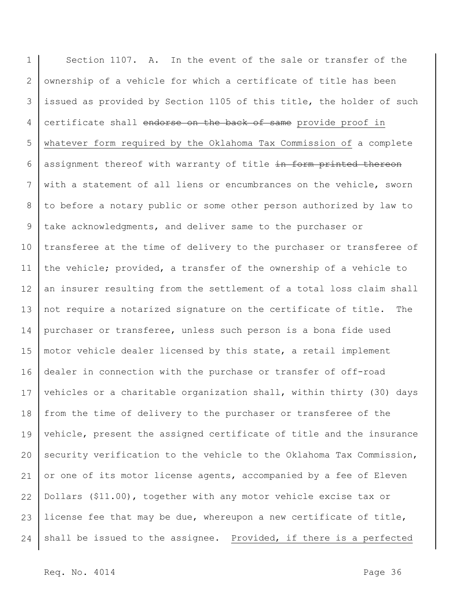1 2 3 4 5 6 7 8 9 10 11 12 13 14 15 16 17 18 19 20 21 22 23 24 Section 1107. A. In the event of the sale or transfer of the ownership of a vehicle for which a certificate of title has been issued as provided by Section 1105 of this title, the holder of such certificate shall endorse on the back of same provide proof in whatever form required by the Oklahoma Tax Commission of a complete assignment thereof with warranty of title in form printed thereon with a statement of all liens or encumbrances on the vehicle, sworn to before a notary public or some other person authorized by law to take acknowledgments, and deliver same to the purchaser or transferee at the time of delivery to the purchaser or transferee of the vehicle; provided, a transfer of the ownership of a vehicle to an insurer resulting from the settlement of a total loss claim shall not require a notarized signature on the certificate of title. The purchaser or transferee, unless such person is a bona fide used motor vehicle dealer licensed by this state, a retail implement dealer in connection with the purchase or transfer of off-road vehicles or a charitable organization shall, within thirty (30) days from the time of delivery to the purchaser or transferee of the vehicle, present the assigned certificate of title and the insurance security verification to the vehicle to the Oklahoma Tax Commission, or one of its motor license agents, accompanied by a fee of Eleven Dollars (\$11.00), together with any motor vehicle excise tax or license fee that may be due, whereupon a new certificate of title, shall be issued to the assignee. Provided, if there is a perfected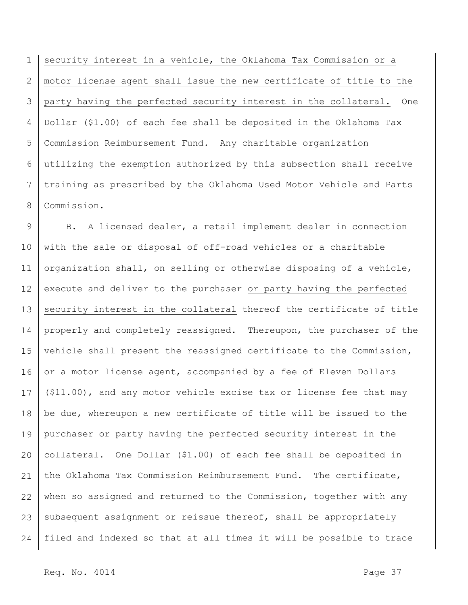1 2 3 4 5 6 7 8 security interest in a vehicle, the Oklahoma Tax Commission or a motor license agent shall issue the new certificate of title to the party having the perfected security interest in the collateral. One Dollar (\$1.00) of each fee shall be deposited in the Oklahoma Tax Commission Reimbursement Fund. Any charitable organization utilizing the exemption authorized by this subsection shall receive training as prescribed by the Oklahoma Used Motor Vehicle and Parts Commission.

9 10 11 12 13 14 15 16 17 18 19 20 21 22 23 24 B. A licensed dealer, a retail implement dealer in connection with the sale or disposal of off-road vehicles or a charitable organization shall, on selling or otherwise disposing of a vehicle, execute and deliver to the purchaser or party having the perfected security interest in the collateral thereof the certificate of title properly and completely reassigned. Thereupon, the purchaser of the vehicle shall present the reassigned certificate to the Commission, or a motor license agent, accompanied by a fee of Eleven Dollars (\$11.00), and any motor vehicle excise tax or license fee that may be due, whereupon a new certificate of title will be issued to the purchaser or party having the perfected security interest in the collateral. One Dollar (\$1.00) of each fee shall be deposited in the Oklahoma Tax Commission Reimbursement Fund. The certificate, when so assigned and returned to the Commission, together with any subsequent assignment or reissue thereof, shall be appropriately filed and indexed so that at all times it will be possible to trace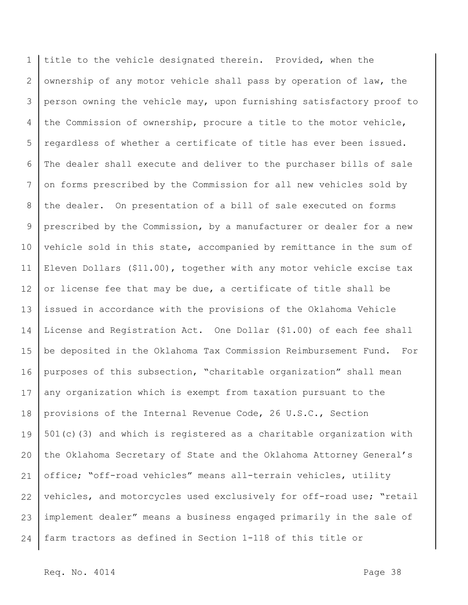1 2 3 4 5 6 7 8 9 10 11 12 13 14 15 16 17 18 19 20 21 22 23 24 title to the vehicle designated therein. Provided, when the ownership of any motor vehicle shall pass by operation of law, the person owning the vehicle may, upon furnishing satisfactory proof to the Commission of ownership, procure a title to the motor vehicle, regardless of whether a certificate of title has ever been issued. The dealer shall execute and deliver to the purchaser bills of sale on forms prescribed by the Commission for all new vehicles sold by the dealer. On presentation of a bill of sale executed on forms prescribed by the Commission, by a manufacturer or dealer for a new vehicle sold in this state, accompanied by remittance in the sum of Eleven Dollars (\$11.00), together with any motor vehicle excise tax or license fee that may be due, a certificate of title shall be issued in accordance with the provisions of the Oklahoma Vehicle License and Registration Act. One Dollar (\$1.00) of each fee shall be deposited in the Oklahoma Tax Commission Reimbursement Fund. For purposes of this subsection, "charitable organization" shall mean any organization which is exempt from taxation pursuant to the provisions of the Internal Revenue Code, 26 U.S.C., Section 501(c)(3) and which is registered as a charitable organization with the Oklahoma Secretary of State and the Oklahoma Attorney General's office; "off-road vehicles" means all-terrain vehicles, utility vehicles, and motorcycles used exclusively for off-road use; "retail implement dealer" means a business engaged primarily in the sale of farm tractors as defined in Section 1-118 of this title or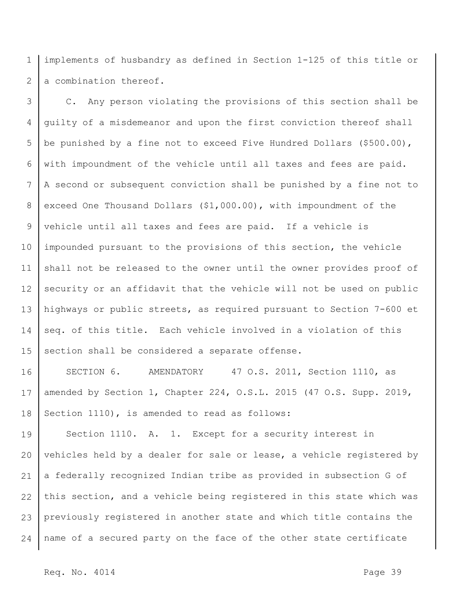1 2 implements of husbandry as defined in Section 1-125 of this title or a combination thereof.

3 4 5 6 7 8 9 10 11 12 13 14 15 C. Any person violating the provisions of this section shall be guilty of a misdemeanor and upon the first conviction thereof shall be punished by a fine not to exceed Five Hundred Dollars (\$500.00), with impoundment of the vehicle until all taxes and fees are paid. A second or subsequent conviction shall be punished by a fine not to exceed One Thousand Dollars (\$1,000.00), with impoundment of the vehicle until all taxes and fees are paid. If a vehicle is impounded pursuant to the provisions of this section, the vehicle shall not be released to the owner until the owner provides proof of security or an affidavit that the vehicle will not be used on public highways or public streets, as required pursuant to Section 7-600 et seq. of this title. Each vehicle involved in a violation of this section shall be considered a separate offense.

16 17 18 SECTION 6. AMENDATORY 47 O.S. 2011, Section 1110, as amended by Section 1, Chapter 224, O.S.L. 2015 (47 O.S. Supp. 2019, Section 1110), is amended to read as follows:

19 20 21 22 23 24 Section 1110. A. 1. Except for a security interest in vehicles held by a dealer for sale or lease, a vehicle registered by a federally recognized Indian tribe as provided in subsection G of this section, and a vehicle being registered in this state which was previously registered in another state and which title contains the name of a secured party on the face of the other state certificate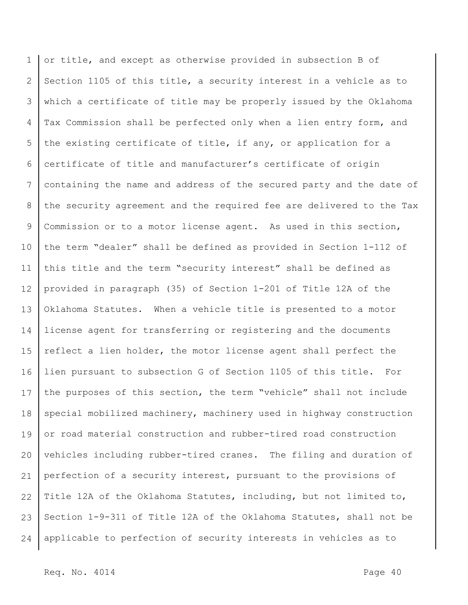1 2 3 4 5 6 7 8 9 10 11 12 13 14 15 16 17 18 19 20 21 22 23 24 or title, and except as otherwise provided in subsection B of Section 1105 of this title, a security interest in a vehicle as to which a certificate of title may be properly issued by the Oklahoma Tax Commission shall be perfected only when a lien entry form, and the existing certificate of title, if any, or application for a certificate of title and manufacturer's certificate of origin containing the name and address of the secured party and the date of the security agreement and the required fee are delivered to the Tax Commission or to a motor license agent. As used in this section, the term "dealer" shall be defined as provided in Section 1-112 of this title and the term "security interest" shall be defined as provided in paragraph (35) of Section 1-201 of Title 12A of the Oklahoma Statutes. When a vehicle title is presented to a motor license agent for transferring or registering and the documents reflect a lien holder, the motor license agent shall perfect the lien pursuant to subsection G of Section 1105 of this title. For the purposes of this section, the term "vehicle" shall not include special mobilized machinery, machinery used in highway construction or road material construction and rubber-tired road construction vehicles including rubber-tired cranes. The filing and duration of perfection of a security interest, pursuant to the provisions of Title 12A of the Oklahoma Statutes, including, but not limited to, Section 1-9-311 of Title 12A of the Oklahoma Statutes, shall not be applicable to perfection of security interests in vehicles as to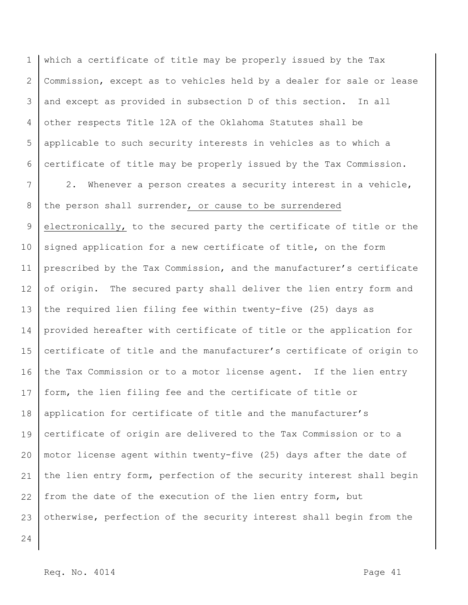1 2 3 4 5 6 which a certificate of title may be properly issued by the Tax Commission, except as to vehicles held by a dealer for sale or lease and except as provided in subsection D of this section. In all other respects Title 12A of the Oklahoma Statutes shall be applicable to such security interests in vehicles as to which a certificate of title may be properly issued by the Tax Commission.

7 8 9 10 11 12 13 14 15 16 17 18 19 20 21 22 23 2. Whenever a person creates a security interest in a vehicle, the person shall surrender, or cause to be surrendered electronically, to the secured party the certificate of title or the signed application for a new certificate of title, on the form prescribed by the Tax Commission, and the manufacturer's certificate of origin. The secured party shall deliver the lien entry form and the required lien filing fee within twenty-five (25) days as provided hereafter with certificate of title or the application for certificate of title and the manufacturer's certificate of origin to the Tax Commission or to a motor license agent. If the lien entry form, the lien filing fee and the certificate of title or application for certificate of title and the manufacturer's certificate of origin are delivered to the Tax Commission or to a motor license agent within twenty-five (25) days after the date of the lien entry form, perfection of the security interest shall begin from the date of the execution of the lien entry form, but otherwise, perfection of the security interest shall begin from the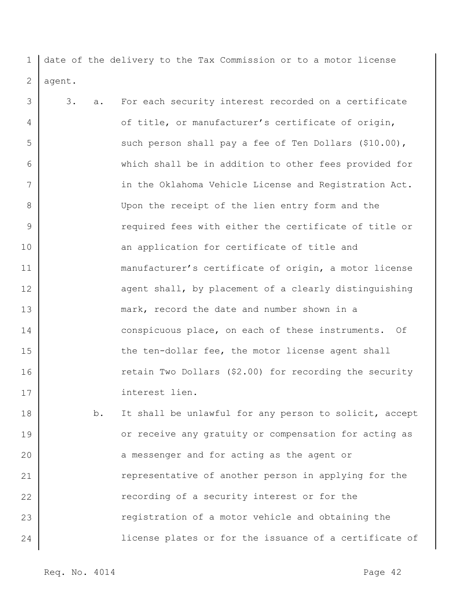1 2 date of the delivery to the Tax Commission or to a motor license agent.

3 4 5 6 7 8 9 10 11 12 13 14 15 16 17 18 19 20 21 22 23 3. a. For each security interest recorded on a certificate of title, or manufacturer's certificate of origin, such person shall pay a fee of Ten Dollars (\$10.00), which shall be in addition to other fees provided for in the Oklahoma Vehicle License and Registration Act. Upon the receipt of the lien entry form and the required fees with either the certificate of title or an application for certificate of title and manufacturer's certificate of origin, a motor license agent shall, by placement of a clearly distinguishing mark, record the date and number shown in a conspicuous place, on each of these instruments. Of the ten-dollar fee, the motor license agent shall retain Two Dollars (\$2.00) for recording the security interest lien. b. It shall be unlawful for any person to solicit, accept or receive any gratuity or compensation for acting as a messenger and for acting as the agent or representative of another person in applying for the recording of a security interest or for the registration of a motor vehicle and obtaining the

license plates or for the issuance of a certificate of

Req. No. 4014 Page 42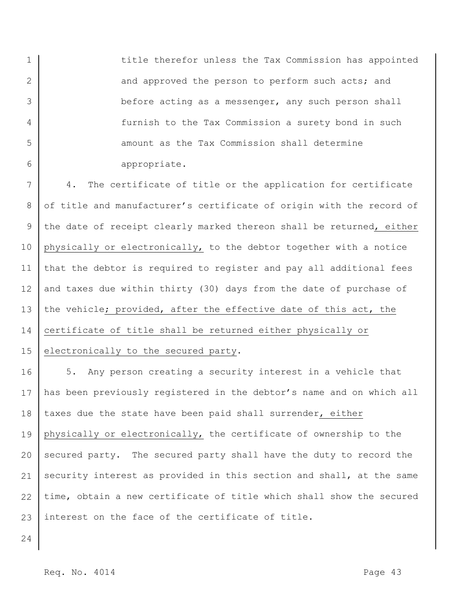title therefor unless the Tax Commission has appointed and approved the person to perform such acts; and before acting as a messenger, any such person shall furnish to the Tax Commission a surety bond in such amount as the Tax Commission shall determine appropriate.

7 8 9 10 11 12 13 14 15 4. The certificate of title or the application for certificate of title and manufacturer's certificate of origin with the record of the date of receipt clearly marked thereon shall be returned, either physically or electronically, to the debtor together with a notice that the debtor is required to register and pay all additional fees and taxes due within thirty (30) days from the date of purchase of the vehicle; provided, after the effective date of this act, the certificate of title shall be returned either physically or electronically to the secured party.

16 17 18 19 20 21 22 23 5. Any person creating a security interest in a vehicle that has been previously registered in the debtor's name and on which all taxes due the state have been paid shall surrender, either physically or electronically, the certificate of ownership to the secured party. The secured party shall have the duty to record the security interest as provided in this section and shall, at the same time, obtain a new certificate of title which shall show the secured interest on the face of the certificate of title.

24

1

2

3

4

5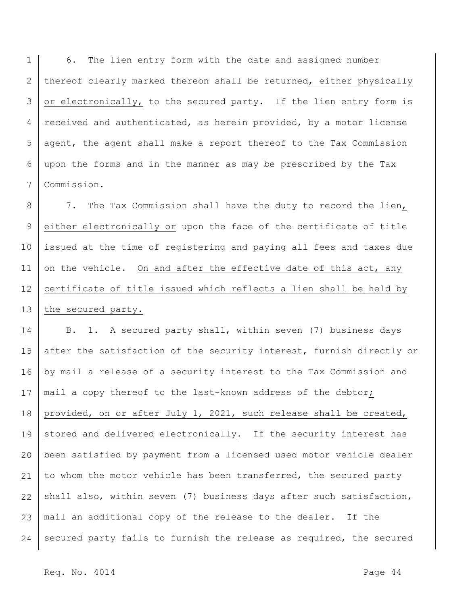1 2 3 4 5 6 7 6. The lien entry form with the date and assigned number thereof clearly marked thereon shall be returned, either physically or electronically, to the secured party. If the lien entry form is received and authenticated, as herein provided, by a motor license agent, the agent shall make a report thereof to the Tax Commission upon the forms and in the manner as may be prescribed by the Tax Commission.

8 9 10 11 12 13 7. The Tax Commission shall have the duty to record the lien, either electronically or upon the face of the certificate of title issued at the time of registering and paying all fees and taxes due on the vehicle. On and after the effective date of this act, any certificate of title issued which reflects a lien shall be held by the secured party.

14 15 16 17 18 19 20 21 22 23 24 B. 1. A secured party shall, within seven (7) business days after the satisfaction of the security interest, furnish directly or by mail a release of a security interest to the Tax Commission and mail a copy thereof to the last-known address of the debtor; provided, on or after July 1, 2021, such release shall be created, stored and delivered electronically. If the security interest has been satisfied by payment from a licensed used motor vehicle dealer to whom the motor vehicle has been transferred, the secured party shall also, within seven (7) business days after such satisfaction, mail an additional copy of the release to the dealer. If the secured party fails to furnish the release as required, the secured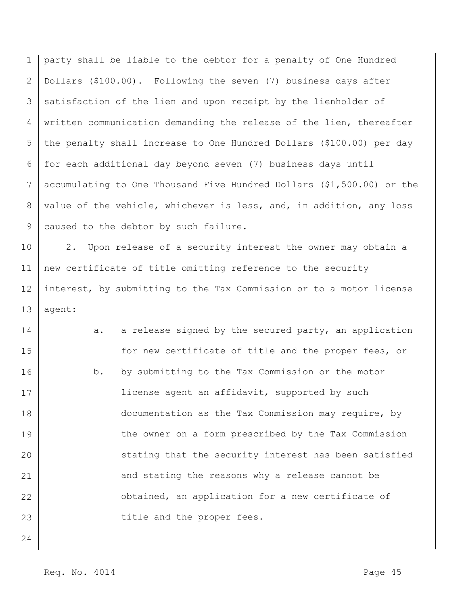1 2 3 4 5 6 7 8 9 party shall be liable to the debtor for a penalty of One Hundred Dollars (\$100.00). Following the seven (7) business days after satisfaction of the lien and upon receipt by the lienholder of written communication demanding the release of the lien, thereafter the penalty shall increase to One Hundred Dollars (\$100.00) per day for each additional day beyond seven (7) business days until accumulating to One Thousand Five Hundred Dollars (\$1,500.00) or the value of the vehicle, whichever is less, and, in addition, any loss caused to the debtor by such failure.

10 11 12 13 2. Upon release of a security interest the owner may obtain a new certificate of title omitting reference to the security interest, by submitting to the Tax Commission or to a motor license agent:

14 15 16 17 18 19 20 21 22 23 a. a release signed by the secured party, an application for new certificate of title and the proper fees, or b. by submitting to the Tax Commission or the motor license agent an affidavit, supported by such documentation as the Tax Commission may require, by the owner on a form prescribed by the Tax Commission stating that the security interest has been satisfied and stating the reasons why a release cannot be obtained, an application for a new certificate of title and the proper fees.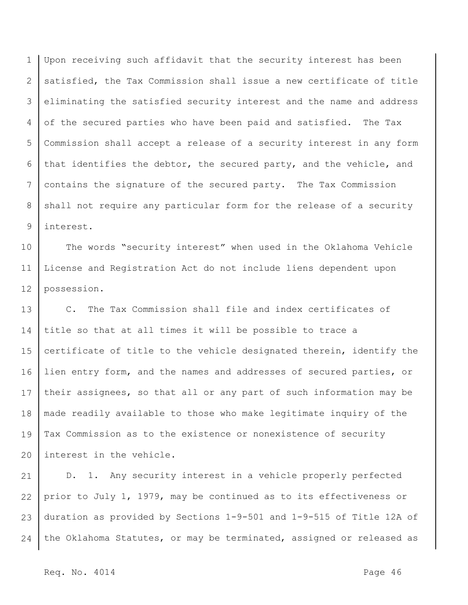1 2 3 4 5 6 7 8 9 Upon receiving such affidavit that the security interest has been satisfied, the Tax Commission shall issue a new certificate of title eliminating the satisfied security interest and the name and address of the secured parties who have been paid and satisfied. The Tax Commission shall accept a release of a security interest in any form that identifies the debtor, the secured party, and the vehicle, and contains the signature of the secured party. The Tax Commission shall not require any particular form for the release of a security interest.

10 11 12 The words "security interest" when used in the Oklahoma Vehicle License and Registration Act do not include liens dependent upon possession.

13 14 15 16 17 18 19 20 C. The Tax Commission shall file and index certificates of title so that at all times it will be possible to trace a certificate of title to the vehicle designated therein, identify the lien entry form, and the names and addresses of secured parties, or their assignees, so that all or any part of such information may be made readily available to those who make legitimate inquiry of the Tax Commission as to the existence or nonexistence of security interest in the vehicle.

21 22 23 24 D. 1. Any security interest in a vehicle properly perfected prior to July 1, 1979, may be continued as to its effectiveness or duration as provided by Sections 1-9-501 and 1-9-515 of Title 12A of the Oklahoma Statutes, or may be terminated, assigned or released as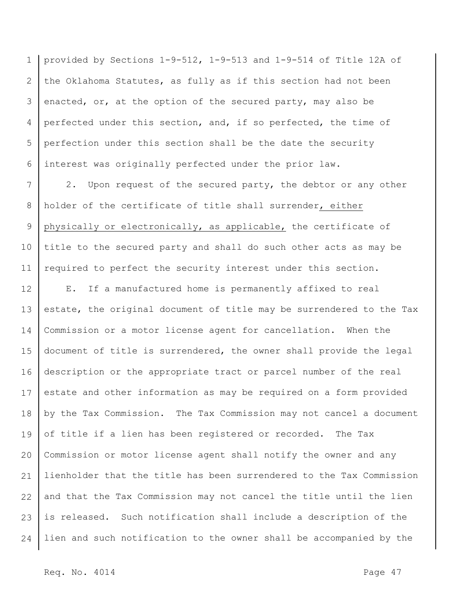1 2 3 4 5 6 provided by Sections 1-9-512, 1-9-513 and 1-9-514 of Title 12A of the Oklahoma Statutes, as fully as if this section had not been enacted, or, at the option of the secured party, may also be perfected under this section, and, if so perfected, the time of perfection under this section shall be the date the security interest was originally perfected under the prior law.

7 8 9 10 11 2. Upon request of the secured party, the debtor or any other holder of the certificate of title shall surrender, either physically or electronically, as applicable, the certificate of title to the secured party and shall do such other acts as may be required to perfect the security interest under this section.

12 13 14 15 16 17 18 19 20 21 22 23 24 E. If a manufactured home is permanently affixed to real estate, the original document of title may be surrendered to the Tax Commission or a motor license agent for cancellation. When the document of title is surrendered, the owner shall provide the legal description or the appropriate tract or parcel number of the real estate and other information as may be required on a form provided by the Tax Commission. The Tax Commission may not cancel a document of title if a lien has been registered or recorded. The Tax Commission or motor license agent shall notify the owner and any lienholder that the title has been surrendered to the Tax Commission and that the Tax Commission may not cancel the title until the lien is released. Such notification shall include a description of the lien and such notification to the owner shall be accompanied by the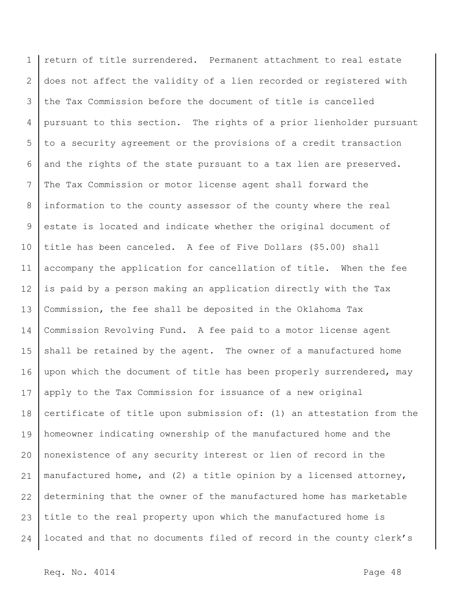1 2 3 4 5 6 7 8 9 10 11 12 13 14 15 16 17 18 19 20 21 22 23 24 return of title surrendered. Permanent attachment to real estate does not affect the validity of a lien recorded or registered with the Tax Commission before the document of title is cancelled pursuant to this section. The rights of a prior lienholder pursuant to a security agreement or the provisions of a credit transaction and the rights of the state pursuant to a tax lien are preserved. The Tax Commission or motor license agent shall forward the information to the county assessor of the county where the real estate is located and indicate whether the original document of title has been canceled. A fee of Five Dollars (\$5.00) shall accompany the application for cancellation of title. When the fee is paid by a person making an application directly with the Tax Commission, the fee shall be deposited in the Oklahoma Tax Commission Revolving Fund. A fee paid to a motor license agent shall be retained by the agent. The owner of a manufactured home upon which the document of title has been properly surrendered, may apply to the Tax Commission for issuance of a new original certificate of title upon submission of: (1) an attestation from the homeowner indicating ownership of the manufactured home and the nonexistence of any security interest or lien of record in the manufactured home, and (2) a title opinion by a licensed attorney, determining that the owner of the manufactured home has marketable title to the real property upon which the manufactured home is located and that no documents filed of record in the county clerk's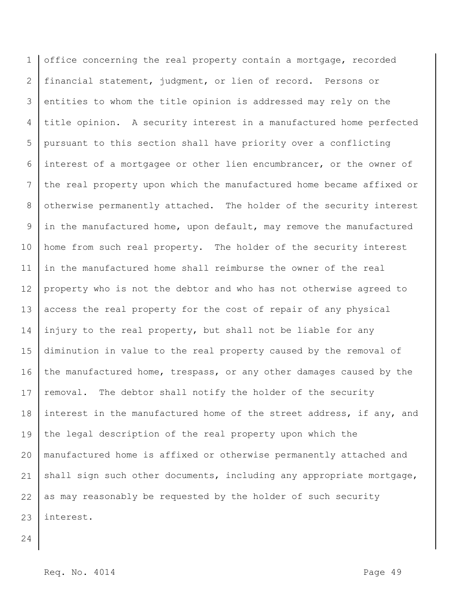1 2 3 4 5 6 7 8 9 10 11 12 13 14 15 16 17 18 19 20 21 22 23 office concerning the real property contain a mortgage, recorded financial statement, judgment, or lien of record. Persons or entities to whom the title opinion is addressed may rely on the title opinion. A security interest in a manufactured home perfected pursuant to this section shall have priority over a conflicting interest of a mortgagee or other lien encumbrancer, or the owner of the real property upon which the manufactured home became affixed or otherwise permanently attached. The holder of the security interest in the manufactured home, upon default, may remove the manufactured home from such real property. The holder of the security interest in the manufactured home shall reimburse the owner of the real property who is not the debtor and who has not otherwise agreed to access the real property for the cost of repair of any physical injury to the real property, but shall not be liable for any diminution in value to the real property caused by the removal of the manufactured home, trespass, or any other damages caused by the removal. The debtor shall notify the holder of the security interest in the manufactured home of the street address, if any, and the legal description of the real property upon which the manufactured home is affixed or otherwise permanently attached and shall sign such other documents, including any appropriate mortgage, as may reasonably be requested by the holder of such security interest.